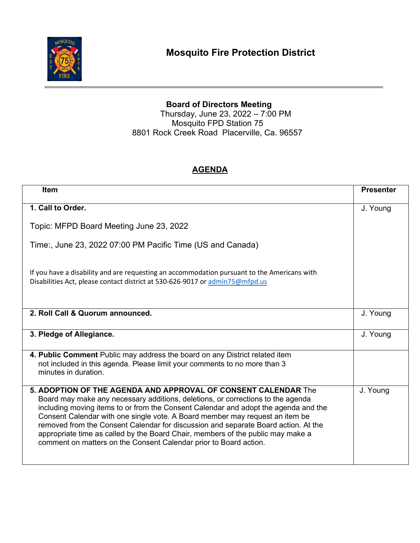

## **Board of Directors Meeting**

Thursday, June 23, 2022 – 7:00 PM Mosquito FPD Station 75 8801 Rock Creek Road Placerville, Ca. 96557

## **AGENDA**

| <b>Item</b>                                                                                                                                                                                                                                                                                                                                                                                                                                                                                                                                                            | <b>Presenter</b> |
|------------------------------------------------------------------------------------------------------------------------------------------------------------------------------------------------------------------------------------------------------------------------------------------------------------------------------------------------------------------------------------------------------------------------------------------------------------------------------------------------------------------------------------------------------------------------|------------------|
|                                                                                                                                                                                                                                                                                                                                                                                                                                                                                                                                                                        |                  |
| 1. Call to Order.                                                                                                                                                                                                                                                                                                                                                                                                                                                                                                                                                      | J. Young         |
| Topic: MFPD Board Meeting June 23, 2022                                                                                                                                                                                                                                                                                                                                                                                                                                                                                                                                |                  |
| Time:, June 23, 2022 07:00 PM Pacific Time (US and Canada)                                                                                                                                                                                                                                                                                                                                                                                                                                                                                                             |                  |
| If you have a disability and are requesting an accommodation pursuant to the Americans with<br>Disabilities Act, please contact district at 530-626-9017 or admin75@mfpd.us                                                                                                                                                                                                                                                                                                                                                                                            |                  |
| 2. Roll Call & Quorum announced.                                                                                                                                                                                                                                                                                                                                                                                                                                                                                                                                       | J. Young         |
| 3. Pledge of Allegiance.                                                                                                                                                                                                                                                                                                                                                                                                                                                                                                                                               | J. Young         |
| 4. Public Comment Public may address the board on any District related item<br>not included in this agenda. Please limit your comments to no more than 3<br>minutes in duration.                                                                                                                                                                                                                                                                                                                                                                                       |                  |
| 5. ADOPTION OF THE AGENDA AND APPROVAL OF CONSENT CALENDAR The<br>Board may make any necessary additions, deletions, or corrections to the agenda<br>including moving items to or from the Consent Calendar and adopt the agenda and the<br>Consent Calendar with one single vote. A Board member may request an item be<br>removed from the Consent Calendar for discussion and separate Board action. At the<br>appropriate time as called by the Board Chair, members of the public may make a<br>comment on matters on the Consent Calendar prior to Board action. | J. Young         |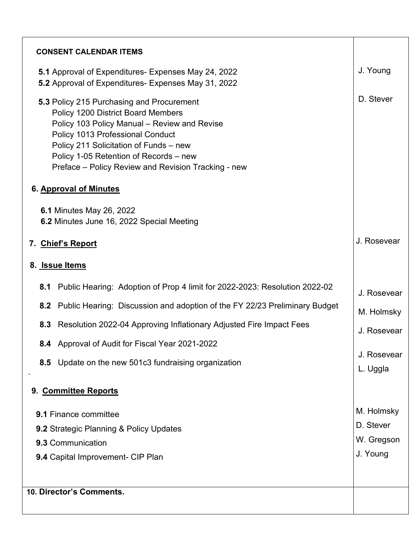| <b>CONSENT CALENDAR ITEMS</b>                                                                                                                                                                                                                                                                                                                   |                         |
|-------------------------------------------------------------------------------------------------------------------------------------------------------------------------------------------------------------------------------------------------------------------------------------------------------------------------------------------------|-------------------------|
| 5.1 Approval of Expenditures- Expenses May 24, 2022<br>5.2 Approval of Expenditures- Expenses May 31, 2022                                                                                                                                                                                                                                      | J. Young                |
| 5.3 Policy 215 Purchasing and Procurement<br><b>Policy 1200 District Board Members</b><br>Policy 103 Policy Manual - Review and Revise<br>Policy 1013 Professional Conduct<br>Policy 211 Solicitation of Funds - new<br>Policy 1-05 Retention of Records - new<br>Preface – Policy Review and Revision Tracking - new<br>6. Approval of Minutes | D. Stever               |
| <b>6.1 Minutes May 26, 2022</b><br>6.2 Minutes June 16, 2022 Special Meeting                                                                                                                                                                                                                                                                    |                         |
| 7. Chief's Report                                                                                                                                                                                                                                                                                                                               | J. Rosevear             |
| 8. Issue Items                                                                                                                                                                                                                                                                                                                                  |                         |
| Public Hearing: Adoption of Prop 4 limit for 2022-2023: Resolution 2022-02<br>8.1                                                                                                                                                                                                                                                               | J. Rosevear             |
| 8.2 Public Hearing: Discussion and adoption of the FY 22/23 Preliminary Budget                                                                                                                                                                                                                                                                  | M. Holmsky              |
| 8.3 Resolution 2022-04 Approving Inflationary Adjusted Fire Impact Fees                                                                                                                                                                                                                                                                         | J. Rosevear             |
| 8.4 Approval of Audit for Fiscal Year 2021-2022                                                                                                                                                                                                                                                                                                 |                         |
| 8.5 Update on the new 501c3 fundraising organization                                                                                                                                                                                                                                                                                            | J. Rosevear<br>L. Uggla |
| 9. Committee Reports                                                                                                                                                                                                                                                                                                                            |                         |
| <b>9.1 Finance committee</b>                                                                                                                                                                                                                                                                                                                    | M. Holmsky              |
| <b>9.2 Strategic Planning &amp; Policy Updates</b>                                                                                                                                                                                                                                                                                              | D. Stever               |
| 9.3 Communication                                                                                                                                                                                                                                                                                                                               | W. Gregson              |
| 9.4 Capital Improvement- CIP Plan                                                                                                                                                                                                                                                                                                               | J. Young                |
|                                                                                                                                                                                                                                                                                                                                                 |                         |
| 10. Director's Comments.                                                                                                                                                                                                                                                                                                                        |                         |